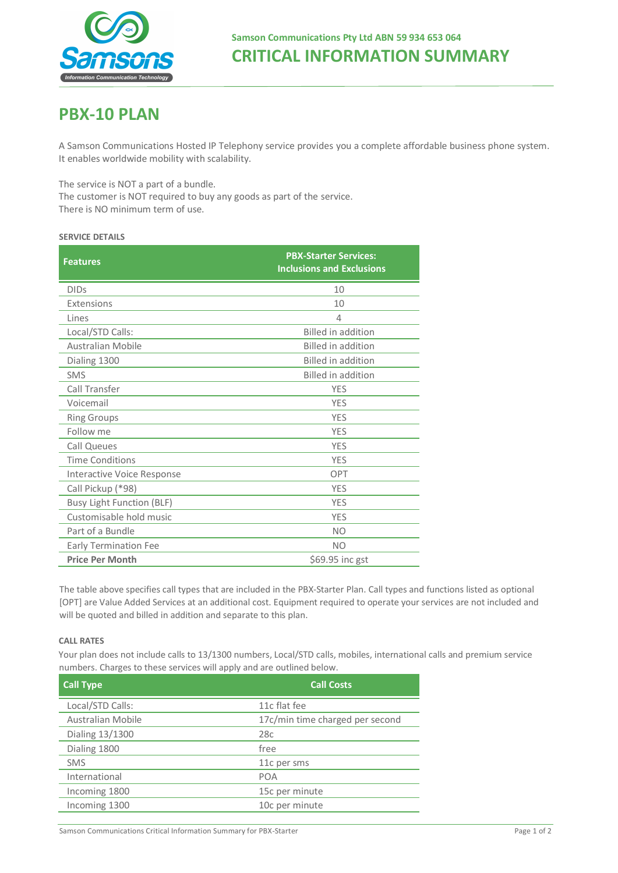

# **CRITICAL INFORMATION SUMMARY**

# **PBX-10 PLAN**

A Samson Communications Hosted IP Telephony service provides you a complete affordable business phone system. It enables worldwide mobility with scalability.

The service is NOT a part of a bundle.

The customer is NOT required to buy any goods as part of the service. There is NO minimum term of use.

### **SERVICE DETAILS**

| <b>Features</b>                   | <b>PBX-Starter Services:</b><br><b>Inclusions and Exclusions</b> |
|-----------------------------------|------------------------------------------------------------------|
| <b>DIDs</b>                       | 10                                                               |
| Extensions                        | 10                                                               |
| Lines                             | $\overline{4}$                                                   |
| Local/STD Calls:                  | <b>Billed in addition</b>                                        |
| Australian Mobile                 | <b>Billed in addition</b>                                        |
| Dialing 1300                      | <b>Billed in addition</b>                                        |
| <b>SMS</b>                        | Billed in addition                                               |
| Call Transfer                     | <b>YES</b>                                                       |
| Voicemail                         | <b>YES</b>                                                       |
| <b>Ring Groups</b>                | <b>YES</b>                                                       |
| Follow me                         | <b>YES</b>                                                       |
| <b>Call Queues</b>                | <b>YES</b>                                                       |
| <b>Time Conditions</b>            | <b>YES</b>                                                       |
| <b>Interactive Voice Response</b> | OPT                                                              |
| Call Pickup (*98)                 | <b>YES</b>                                                       |
| <b>Busy Light Function (BLF)</b>  | <b>YES</b>                                                       |
| Customisable hold music           | <b>YES</b>                                                       |
| Part of a Bundle                  | N <sub>O</sub>                                                   |
| <b>Early Termination Fee</b>      | <b>NO</b>                                                        |
| <b>Price Per Month</b>            | \$69.95 inc gst                                                  |

The table above specifies call types that are included in the PBX-Starter Plan. Call types and functions listed as optional [OPT] are Value Added Services at an additional cost. Equipment required to operate your services are not included and will be quoted and billed in addition and separate to this plan.

## **CALL RATES**

Your plan does not include calls to 13/1300 numbers, Local/STD calls, mobiles, international calls and premium service numbers. Charges to these services will apply and are outlined below.

| <b>Call Type</b>  | <b>Call Costs</b>               |
|-------------------|---------------------------------|
| Local/STD Calls:  | 11c flat fee                    |
| Australian Mobile | 17c/min time charged per second |
| Dialing 13/1300   | 28c                             |
| Dialing 1800      | free                            |
| <b>SMS</b>        | 11c per sms                     |
| International     | <b>POA</b>                      |
| Incoming 1800     | 15c per minute                  |
| Incoming 1300     | 10c per minute                  |